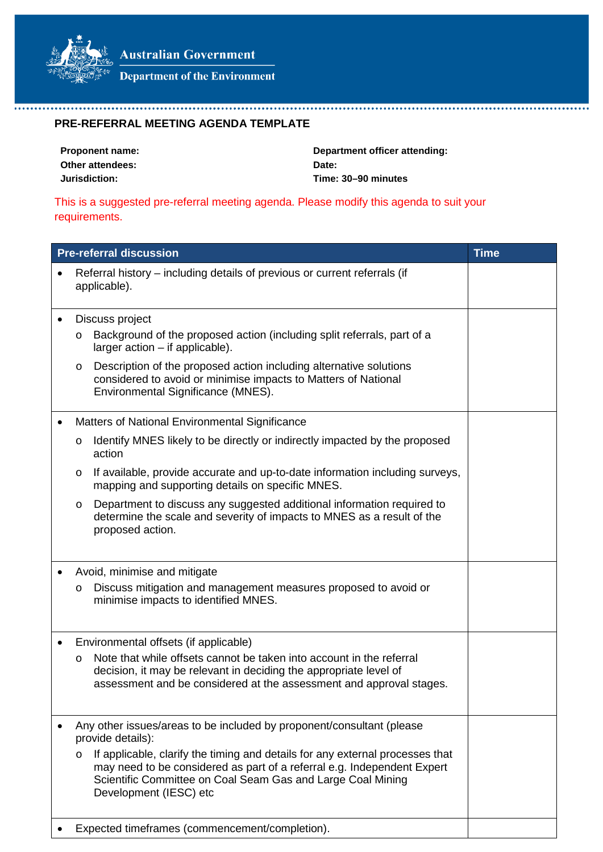

Department of the Environment

## **PRE-REFERRAL MEETING AGENDA TEMPLATE**

| <b>Proponent name:</b> | Department officer attending: |
|------------------------|-------------------------------|
| Other attendees:       | Date:                         |
| Jurisdiction:          | Time: 30–90 minutes           |

This is a suggested pre-referral meeting agenda. Please modify this agenda to suit your requirements.

| <b>Pre-referral discussion</b>                                                                                                                                                                                                                         | <b>Time</b> |
|--------------------------------------------------------------------------------------------------------------------------------------------------------------------------------------------------------------------------------------------------------|-------------|
| Referral history – including details of previous or current referrals (if<br>applicable).                                                                                                                                                              |             |
| Discuss project<br>Background of the proposed action (including split referrals, part of a<br>O<br>larger $action - if applicable$ ).<br>Description of the proposed action including alternative solutions<br>O                                       |             |
| considered to avoid or minimise impacts to Matters of National<br>Environmental Significance (MNES).                                                                                                                                                   |             |
| Matters of National Environmental Significance                                                                                                                                                                                                         |             |
| Identify MNES likely to be directly or indirectly impacted by the proposed<br>O<br>action                                                                                                                                                              |             |
| If available, provide accurate and up-to-date information including surveys,<br>O<br>mapping and supporting details on specific MNES.                                                                                                                  |             |
| Department to discuss any suggested additional information required to<br>O<br>determine the scale and severity of impacts to MNES as a result of the<br>proposed action.                                                                              |             |
| Avoid, minimise and mitigate                                                                                                                                                                                                                           |             |
| Discuss mitigation and management measures proposed to avoid or<br>O<br>minimise impacts to identified MNES.                                                                                                                                           |             |
| Environmental offsets (if applicable)                                                                                                                                                                                                                  |             |
| Note that while offsets cannot be taken into account in the referral<br>O<br>decision, it may be relevant in deciding the appropriate level of<br>assessment and be considered at the assessment and approval stages.                                  |             |
| Any other issues/areas to be included by proponent/consultant (please<br>provide details):                                                                                                                                                             |             |
| If applicable, clarify the timing and details for any external processes that<br>O<br>may need to be considered as part of a referral e.g. Independent Expert<br>Scientific Committee on Coal Seam Gas and Large Coal Mining<br>Development (IESC) etc |             |
| Expected timeframes (commencement/completion).                                                                                                                                                                                                         |             |